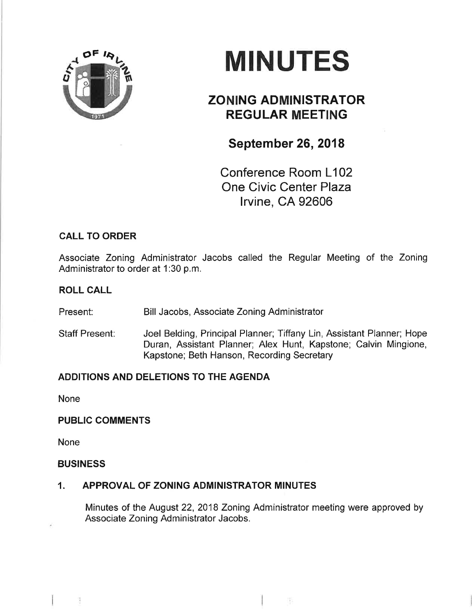

# **MINUTES**

# ZONING ADMINISTRATOR REGULAR MEETING

## September 26, 2018

Conference Room L102 One Civic Center Plaza lrvine, CA 92606

## CALL TO ORDER

Associate Zoning Administrator Jacobs called the Regular Meeting of the Zoning Administrator to order at 1:30 p.m.

#### ROLL CALL

Present: Bill Jacobs, Associate Zoning Administrator

Staff Present: Joel Belding, Principal Planner; Tiffany Lin, Assistant Planner; Hope Duran, Assistant Planner; Alex Hunt, Kapstone; Calvin Mingione, Kapstone; Beth Hanson, Recording Secretary

## ADDITIONS AND DELETIONS TO THE AGENDA

None

## PUBLIC COMMENTS

None

#### BUSINESS

9

## 1. APPROVAL OF ZONING ADMINISTRATOR MINUTES

Minutes of the August 22, 2018 Zoning Administrator meeting were approved by Associate Zoning Administrator Jacobs.

경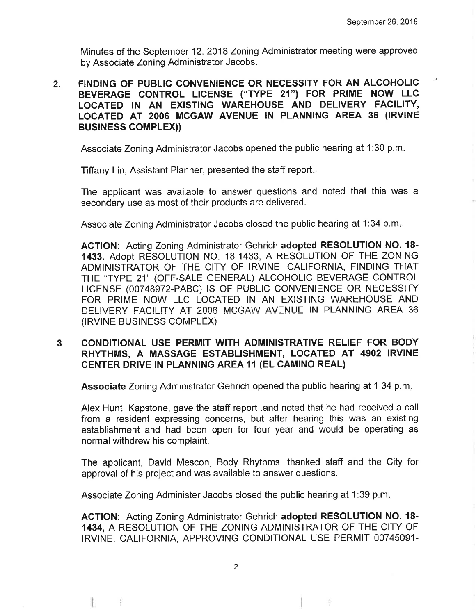Minutes of the September 12,2018 Zoning Administrator meeting were approved by Associate Zoning Administrator Jacobs.

2. FINDING OF PUBLIC CONVENIENCE OR NECESSITY FOR AN ALCOHOLIC BEVERAGE CONTROL LICENSE ("TYPE 21") FOR PRIME NOW LLC LOCATED IN AN EXISTING WAREHOUSE AND DELIVERY FACILITY, LOCATED AT 2006 MCGAW AVENUE IN PLANNING AREA 36 (IRVINE BUSTNESS COMPLEX))

Associate Zoning Administrator Jacobs opened the public hearing at 1:30 p.m.

Tiffany Lin, Assistant Planner, presented the staff report

The applicant was available to answer questions and noted that this was a secondary use as most of their products are delivered.

Associate Zoning Administrator Jacobs closcd thc public hearing at 1:34 p.m

ACTION: Acting Zoning Administrator Gehrich adopted RESOLUTION NO. 18-1433. Adopt RESOLUTION NO. 18-1433, A RESOLUTION OF THE ZONING ADMINISTRATOR OF THE CITY OF IRVINE, CALIFORNIA, FINDING THAT THE 'TYPE 21" (OFF-SALE GENERAL) ALCOHOLIC BEVERAGE CONTROL LICENSE (00748972-PABC) IS OF PUBLIC CONVENIENCE OR NECESSITY FOR PRIME NOW LLC LOCATED IN AN EXISTING WAREHOUSE AND DELIVERY FACILITY AT 2006 MCGAW AVENUE IN PLANNING AREA 36 (IRVINE BUSINESS COMPLEX)

#### 3 CONDITIONAL USE PERMIT WITH ADMINISTRATIVE RELIEF FOR BODY RHYTHMS, A MASSAGE ESTABLISHMENT, LOCATED AT 4902 IRVINE **CENTER DRIVE IN PLANNING AREA 11 (EL CAMINO REAL)**

Associate Zoning Administrator Gehrich opened the public hearing at 1:34 p.m.

Alex Hunt, Kapstone, gave the staff report .and noted that he had receíved a call from a resident expressing concerns, but after hearing this was an existing establishment and had been open for four year and would be operating as normal withdrew his complaint.

The applicant, David Mescon, Body Rhythms, thanked staff and the City for approval of his project and was available to answer questions.

Assocíate Zoning Administer Jacobs closed the public hearing at 1:39 p.m

AGTION: Acting Zoning Administrator Gehrich adopted RESOLUTION NO. 18- 1434, A RESOLUTION OF THE ZONING ADMINISTRATOR OF THE CITY OF IRVINE, CALIFORNIA, APPROVING CONDITIONAL USE PERMIT 00745091-

4

Ÿ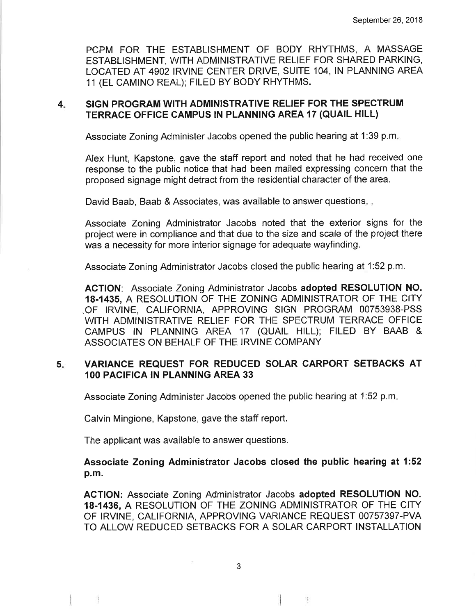PCPM FOR THE ESTABLISHMENT OF BODY RHYTHMS, A MASSAGE ESTABLISHMENT, WITH ADMINISTRATIVE RELIEF FOR SHARED PARKING, LOCATED AT 4902 IRVINE CENTER DRIVE, SUITE 104, IN PLANNING AREA 11 (EL CAMINO REAL); FILED BY BODY RHYTHMS.

#### 4 SIGN PROGRAM WITH ADMINISTRATIVE RELIEF FOR THE SPECTRUM TERRACE OFFICE CAMPUS IN PLANNING AREA 17 (QUAIL HILL)

Associate Zoning Administer Jacobs opened the public hearing at 1:39 p.m

Alex Hunt, Kapstone, gave the staff report and noted that he had received one response to the public notice that had been mailed expressing concern that the proposed signage might detract from the residential character of the area.

David Baab, Baab & Associates, was available to answer questions...

Associate Zoning Administrator Jacobs noted that the exterior signs for the project were in compliance and that due to the size and scale of the project there was a necessity for more interior signage for adequate wayfinding.

Associate Zoning Administrator Jacobs closed the public hearing at 1:52 p.m.

ACTION: Associate Zoning Administrator Jacobs adopted RESOLUTION NO. 18.1435, A RESOLUTION OF THE ZONING ADMINISTRATOR OF THE CITY .OF IRVINE, CALIFORNIA, APPROVING SIGN PROGRAM 00753938-PSS WITH ADMINISTRATIVE RELIEF FOR THE SPECTRUM TERRACE OFFICE CAMPUS lN PLANNING AREA 17 (OUAIL HILL); FILED BY BAAB & ASSOCIATES ON BEHALF OF THE IRVINE COMPANY

#### VARIANCE REQUEST FOR REDUCED SOLAR CARPORT SETBACKS AT 1OO PACIFICA IN PLANNING AREA 33  $5x$

Associate Zoning Administer Jacobs opened the public hearing at 1:52 p.m

Calvin Mingione, Kapstone, gave the staff report.

The applicant was available to answer questions.

Ħ.

Associate Zoning Administrator Jacobs closed the public hearing at 1:52 p.m.

ACTION: Associate Zoning Administrator Jacobs adopted RESOLUTION NO. 18.1436, A RESOLUTION OF THE ZONING ADMINISTRATOR OF THE CITY OF IRVINE, CALIFORNIA, APPROVING VARIANCE REQUEST 00757397-PVA TO ALLOW REDUCED SETBACKS FOR A SOLAR CARPORT INSTALLATION

95